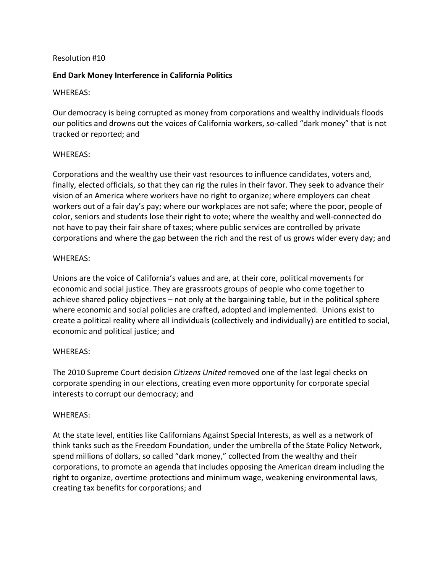### Resolution #10

# **End Dark Money Interference in California Politics**

### WHEREAS:

Our democracy is being corrupted as money from corporations and wealthy individuals floods our politics and drowns out the voices of California workers, so-called "dark money" that is not tracked or reported; and

### WHEREAS:

Corporations and the wealthy use their vast resources to influence candidates, voters and, finally, elected officials, so that they can rig the rules in their favor. They seek to advance their vision of an America where workers have no right to organize; where employers can cheat workers out of a fair day's pay; where our workplaces are not safe; where the poor, people of color, seniors and students lose their right to vote; where the wealthy and well-connected do not have to pay their fair share of taxes; where public services are controlled by private corporations and where the gap between the rich and the rest of us grows wider every day; and

# WHEREAS:

Unions are the voice of California's values and are, at their core, political movements for economic and social justice. They are grassroots groups of people who come together to achieve shared policy objectives – not only at the bargaining table, but in the political sphere where economic and social policies are crafted, adopted and implemented. Unions exist to create a political reality where all individuals (collectively and individually) are entitled to social, economic and political justice; and

### WHEREAS:

The 2010 Supreme Court decision *Citizens United* removed one of the last legal checks on corporate spending in our elections, creating even more opportunity for corporate special interests to corrupt our democracy; and

### WHEREAS:

At the state level, entities like Californians Against Special Interests, as well as a network of think tanks such as the Freedom Foundation, under the umbrella of the State Policy Network, spend millions of dollars, so called "dark money," collected from the wealthy and their corporations, to promote an agenda that includes opposing the American dream including the right to organize, overtime protections and minimum wage, weakening environmental laws, creating tax benefits for corporations; and